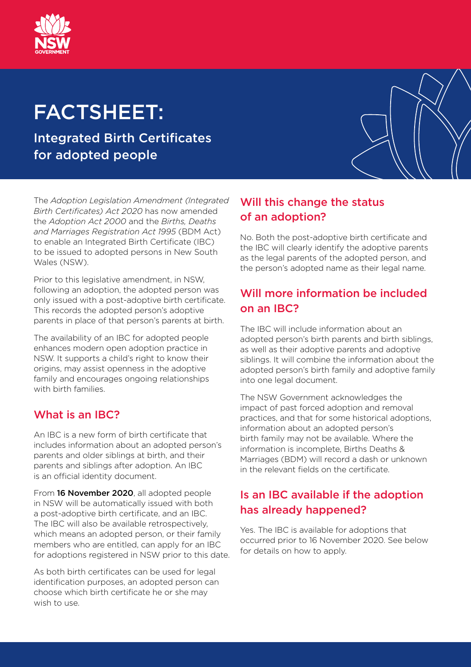

# FACTSHEET:

Integrated Birth Certificates for adopted people

The *Adoption Legislation Amendment (Integrated Birth Certificates) Act 2020* has now amended the *Adoption Act 2000* and the *Births, Deaths and Marriages Registration Act 1995* (BDM Act) to enable an Integrated Birth Certificate (IBC) to be issued to adopted persons in New South Wales (NSW).

Prior to this legislative amendment, in NSW, following an adoption, the adopted person was only issued with a post-adoptive birth certificate. This records the adopted person's adoptive parents in place of that person's parents at birth.

The availability of an IBC for adopted people enhances modern open adoption practice in NSW. It supports a child's right to know their origins, may assist openness in the adoptive family and encourages ongoing relationships with birth families.

#### What is an IBC?

An IBC is a new form of birth certificate that includes information about an adopted person's parents and older siblings at birth, and their parents and siblings after adoption. An IBC is an official identity document.

From 16 November 2020, all adopted people in NSW will be automatically issued with both a post-adoptive birth certificate, and an IBC. The IBC will also be available retrospectively, which means an adopted person, or their family members who are entitled, can apply for an IBC for adoptions registered in NSW prior to this date.

As both birth certificates can be used for legal identification purposes, an adopted person can choose which birth certificate he or she may wish to use.

## Will this change the status of an adoption?

No. Both the post-adoptive birth certificate and the IBC will clearly identify the adoptive parents as the legal parents of the adopted person, and the person's adopted name as their legal name.

## Will more information be included on an IBC?

The IBC will include information about an adopted person's birth parents and birth siblings, as well as their adoptive parents and adoptive siblings. It will combine the information about the adopted person's birth family and adoptive family into one legal document.

The NSW Government acknowledges the impact of past forced adoption and removal practices, and that for some historical adoptions, information about an adopted person's birth family may not be available. Where the information is incomplete, Births Deaths & Marriages (BDM) will record a dash or unknown in the relevant fields on the certificate.

## Is an IBC available if the adoption has already happened?

Yes. The IBC is available for adoptions that occurred prior to 16 November 2020. See below for details on how to apply.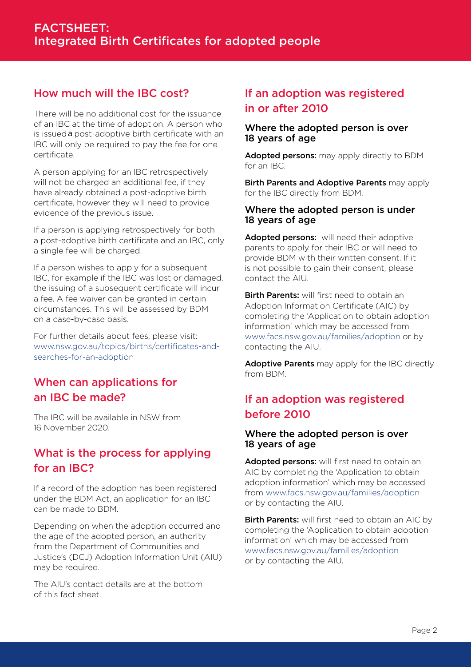#### How much will the IBC cost?

is issued a post-adoptive birth certificate with an There will be no additional cost for the issuance of an IBC at the time of adoption. A person who IBC will only be required to pay the fee for one certificate.

A person applying for an IBC retrospectively will not be charged an additional fee, if they have already obtained a post-adoptive birth certificate, however they will need to provide evidence of the previous issue.

If a person is applying retrospectively for both a post-adoptive birth certificate and an IBC, only a single fee will be charged.

If a person wishes to apply for a subsequent IBC, for example if the IBC was lost or damaged, the issuing of a subsequent certificate will incur a fee. A fee waiver can be granted in certain circumstances. This will be assessed by BDM on a case-by-case basis.

For further details about fees, please visit: [www.nsw.gov.au/topics/births/certificates-and](http://www.nsw.gov.au/topics/births/certificates-and-searches-for-an-adoption)[searches-for-an-adoption](http://www.nsw.gov.au/topics/births/certificates-and-searches-for-an-adoption)

## When can applications for an IBC be made?

The IBC will be available in NSW from 16 November 2020.

## What is the process for applying for an IBC?

If a record of the adoption has been registered under the BDM Act, an application for an IBC can be made to BDM.

Depending on when the adoption occurred and the age of the adopted person, an authority from the Department of Communities and Justice's (DCJ) Adoption Information Unit (AIU) may be required.

The AIU's contact details are at the bottom of this fact sheet.

#### If an adoption was registered in or after 2010

#### Where the adopted person is over 18 years of age

Adopted persons: may apply directly to BDM for an IBC.

Birth Parents and Adoptive Parents may apply for the IBC directly from BDM.

#### Where the adopted person is under 18 years of age

Adopted persons: will need their adoptive parents to apply for their IBC or will need to provide BDM with their written consent. If it is not possible to gain their consent, please contact the AIU.

**Birth Parents:** will first need to obtain an Adoption Information Certificate (AIC) by completing the 'Application to obtain adoption information' which may be accessed from [www.facs.nsw.gov.au/families/adoption](http://www.facs.nsw.gov.au/families/adoption) or by contacting the AIU.

Adoptive Parents may apply for the IBC directly from BDM.

## If an adoption was registered before 2010

#### Where the adopted person is over 18 years of age

Adopted persons: will first need to obtain an AIC by completing the 'Application to obtain adoption information' which may be accessed from [www.facs.nsw.gov.au/families/adoption](http://www.facs.nsw.gov.au/families/adoption) or by contacting the AIU.

**Birth Parents:** will first need to obtain an AIC by completing the 'Application to obtain adoption information' which may be accessed from [www.facs.nsw.gov.au/families/adoption](http://www.facs.nsw.gov.au/families/adoption) or by contacting the AIU.